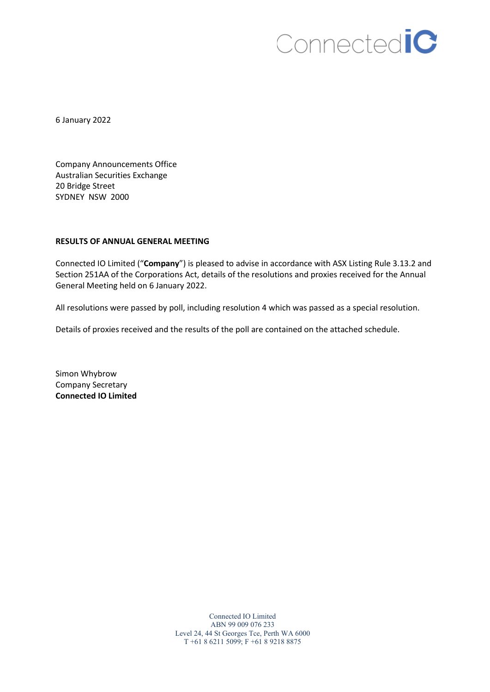## Connectedic

6 January 2022

Company Announcements Office Australian Securities Exchange 20 Bridge Street SYDNEY NSW 2000

## **RESULTS OF ANNUAL GENERAL MEETING**

Connected IO Limited ("**Company**") is pleased to advise in accordance with ASX Listing Rule 3.13.2 and Section 251AA of the Corporations Act, details of the resolutions and proxies received for the Annual General Meeting held on 6 January 2022.

All resolutions were passed by poll, including resolution 4 which was passed as a special resolution.

Details of proxies received and the results of the poll are contained on the attached schedule.

Simon Whybrow Company Secretary **Connected IO Limited**

> Connected IO Limited ABN 99 009 076 233 Level 24, 44 St Georges Tce, Perth WA 6000 T +61 8 6211 5099; F +61 8 9218 8875